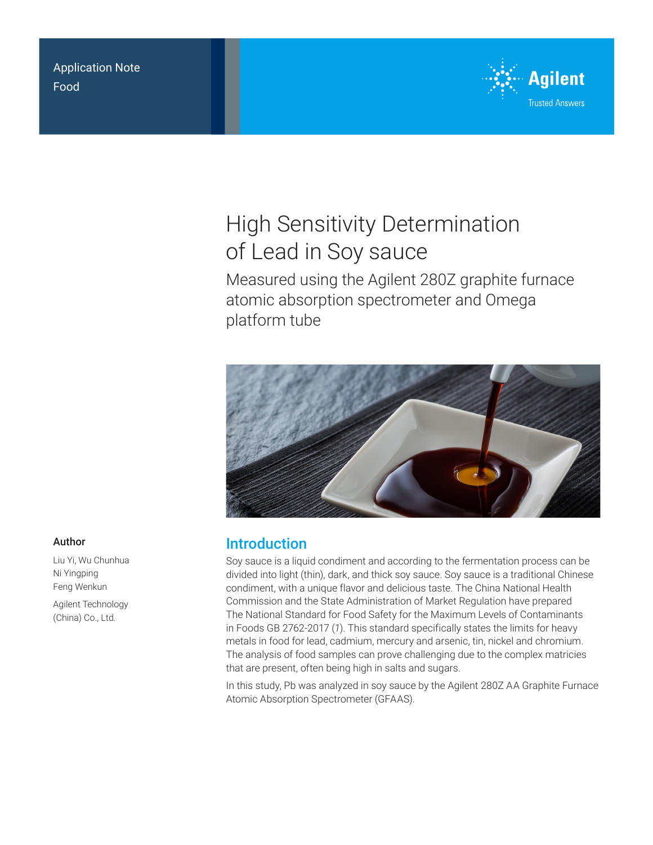Application Note Food



# High Sensitivity Determination of Lead in Soy sauce

Measured using the Agilent 280Z graphite furnace atomic absorption spectrometer and Omega platform tube



## Introduction

Soy sauce is a liquid condiment and according to the fermentation process can be divided into light (thin), dark, and thick soy sauce. Soy sauce is a traditional Chinese condiment, with a unique flavor and delicious taste. The China National Health Commission and the State Administration of Market Regulation have prepared The National Standard for Food Safety for the Maximum Levels of Contaminants in Foods GB 2762-2017 (*1*). This standard specifically states the limits for heavy metals in food for lead, cadmium, mercury and arsenic, tin, nickel and chromium. The analysis of food samples can prove challenging due to the complex matricies that are present, often being high in salts and sugars.

In this study, Pb was analyzed in soy sauce by the Agilent 280Z AA Graphite Furnace Atomic Absorption Spectrometer (GFAAS).

### Author

Liu Yi, Wu Chunhua Ni Yingping Feng Wenkun

Agilent Technology (China) Co., Ltd.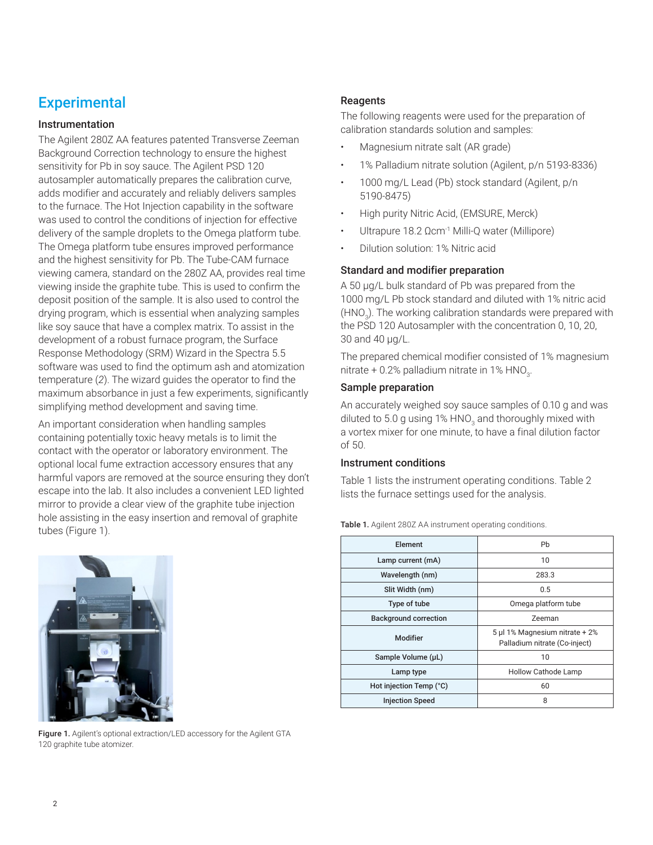# **Experimental**

### Instrumentation

The Agilent 280Z AA features patented Transverse Zeeman Background Correction technology to ensure the highest sensitivity for Pb in soy sauce. The Agilent PSD 120 autosampler automatically prepares the calibration curve, adds modifier and accurately and reliably delivers samples to the furnace. The Hot Injection capability in the software was used to control the conditions of injection for effective delivery of the sample droplets to the Omega platform tube. The Omega platform tube ensures improved performance and the highest sensitivity for Pb. The Tube-CAM furnace viewing camera, standard on the 280Z AA, provides real time viewing inside the graphite tube. This is used to confirm the deposit position of the sample. It is also used to control the drying program, which is essential when analyzing samples like soy sauce that have a complex matrix. To assist in the development of a robust furnace program, the Surface Response Methodology (SRM) Wizard in the Spectra 5.5 software was used to find the optimum ash and atomization temperature (*2*). The wizard guides the operator to find the maximum absorbance in just a few experiments, significantly simplifying method development and saving time.

An important consideration when handling samples containing potentially toxic heavy metals is to limit the contact with the operator or laboratory environment. The optional local fume extraction accessory ensures that any harmful vapors are removed at the source ensuring they don't escape into the lab. It also includes a convenient LED lighted mirror to provide a clear view of the graphite tube injection hole assisting in the easy insertion and removal of graphite tubes (Figure 1).



Figure 1. Agilent's optional extraction/LED accessory for the Agilent GTA 120 graphite tube atomizer.

### **Reagents**

The following reagents were used for the preparation of calibration standards solution and samples:

- Magnesium nitrate salt (AR grade)
- 1% Palladium nitrate solution (Agilent, p/n 5193-8336)
- 1000 mg/L Lead (Pb) stock standard (Agilent, p/n 5190-8475)
- High purity Nitric Acid, (EMSURE, Merck)
- Ultrapure 18.2 Ωcm-1 Milli-Q water (Millipore)
- Dilution solution: 1% Nitric acid

### Standard and modifier preparation

A 50 µg/L bulk standard of Pb was prepared from the 1000 mg/L Pb stock standard and diluted with 1% nitric acid (HNO<sub>3</sub>). The working calibration standards were prepared with the PSD 120 Autosampler with the concentration 0, 10, 20, 30 and 40 µg/L.

The prepared chemical modifier consisted of 1% magnesium nitrate + 0.2% palladium nitrate in 1% HNO $_{\scriptscriptstyle 3}$ .

### Sample preparation

An accurately weighed soy sauce samples of 0.10 g and was diluted to 5.0 g using 1% HNO<sub>3</sub> and thoroughly mixed with a vortex mixer for one minute, to have a final dilution factor of 50.

### Instrument conditions

Table 1 lists the instrument operating conditions. Table 2 lists the furnace settings used for the analysis.

| Element                      | Pb                                                              |  |  |
|------------------------------|-----------------------------------------------------------------|--|--|
| Lamp current (mA)            | 10                                                              |  |  |
| Wavelength (nm)              | 283.3                                                           |  |  |
| Slit Width (nm)              | 0.5                                                             |  |  |
| Type of tube                 | Omega platform tube                                             |  |  |
| <b>Background correction</b> | Zeeman                                                          |  |  |
| Modifier                     | 5 µl 1% Magnesium nitrate + 2%<br>Palladium nitrate (Co-inject) |  |  |
| Sample Volume (µL)           | 10                                                              |  |  |
| Lamp type                    | <b>Hollow Cathode Lamp</b>                                      |  |  |
| Hot injection Temp (°C)      | 60                                                              |  |  |
| <b>Injection Speed</b>       | 8                                                               |  |  |

Table 1. Agilent 280Z AA instrument operating conditions.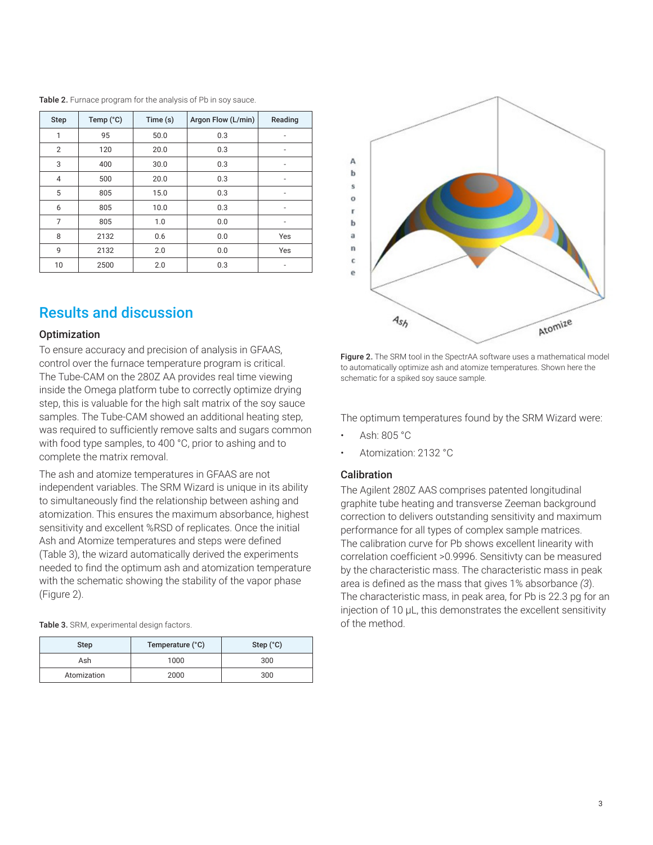| <b>Step</b>    | Temp (°C) | Time (s) | Argon Flow (L/min) | Reading        |
|----------------|-----------|----------|--------------------|----------------|
| 1              | 95        | 50.0     | 0.3                |                |
| 2              | 120       | 20.0     | 0.3                |                |
| 3              | 400       | 30.0     | 0.3                | -              |
| $\overline{4}$ | 500       | 20.0     | 0.3                | $\overline{a}$ |
| 5              | 805       | 15.0     | 0.3                | -              |
| 6              | 805       | 10.0     | 0.3                | -              |
| 7              | 805       | 1.0      | 0.0                | -              |
| 8              | 2132      | 0.6      | 0.0                | Yes            |
| 9              | 2132      | 2.0      | 0.0                | Yes            |
| 10             | 2500      | 2.0      | 0.3                | ۰              |

#### Table 2. Furnace program for the analysis of Pb in soy sauce.

### Results and discussion

### **Optimization**

To ensure accuracy and precision of analysis in GFAAS, control over the furnace temperature program is critical. The Tube-CAM on the 280Z AA provides real time viewing inside the Omega platform tube to correctly optimize drying step, this is valuable for the high salt matrix of the soy sauce samples. The Tube-CAM showed an additional heating step, was required to sufficiently remove salts and sugars common with food type samples, to 400 °C, prior to ashing and to complete the matrix removal.

The ash and atomize temperatures in GFAAS are not independent variables. The SRM Wizard is unique in its ability to simultaneously find the relationship between ashing and atomization. This ensures the maximum absorbance, highest sensitivity and excellent %RSD of replicates. Once the initial Ash and Atomize temperatures and steps were defined (Table 3), the wizard automatically derived the experiments needed to find the optimum ash and atomization temperature with the schematic showing the stability of the vapor phase (Figure 2).

| Table 3. SRM, experimental design factors. |  |
|--------------------------------------------|--|
|--------------------------------------------|--|

| <b>Step</b> | Temperature (°C) | Step $(^{\circ}C)$ |
|-------------|------------------|--------------------|
| Ash         | 1000             | 300                |
| Atomization | 2000             | 300                |



Figure 2. The SRM tool in the SpectrAA software uses a mathematical model to automatically optimize ash and atomize temperatures. Shown here the schematic for a spiked soy sauce sample.

The optimum temperatures found by the SRM Wizard were:

- Ash: 805 °C
- Atomization: 2132 °C

### **Calibration**

The Agilent 280Z AAS comprises patented longitudinal graphite tube heating and transverse Zeeman background correction to delivers outstanding sensitivity and maximum performance for all types of complex sample matrices. The calibration curve for Pb shows excellent linearity with correlation coefficient >0.9996. Sensitivty can be measured by the characteristic mass. The characteristic mass in peak area is defined as the mass that gives 1% absorbance *(3*). The characteristic mass, in peak area, for Pb is 22.3 pg for an injection of 10 µL, this demonstrates the excellent sensitivity of the method.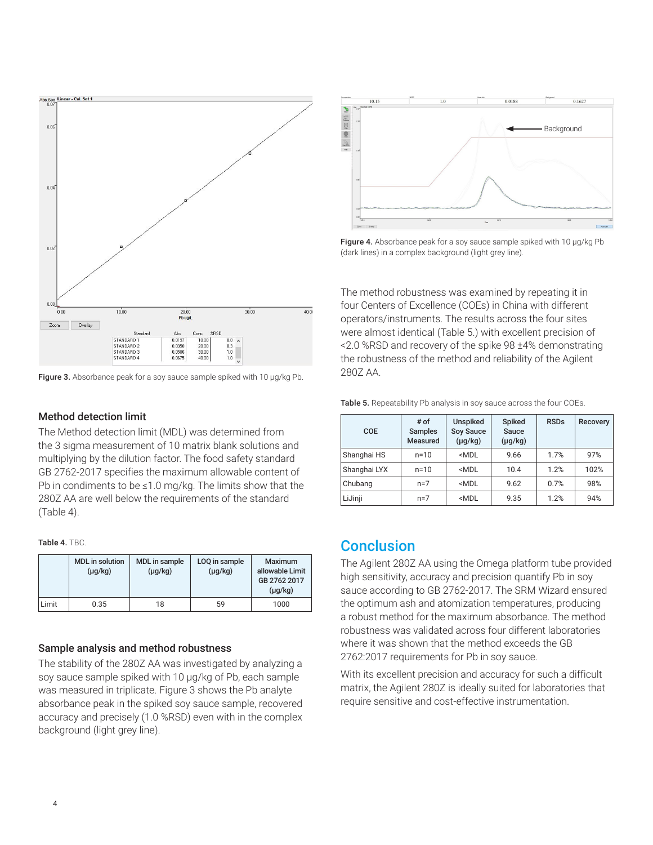

Figure 3. Absorbance peak for a soy sauce sample spiked with 10 µg/kg Pb.

### Method detection limit

The Method detection limit (MDL) was determined from the 3 sigma measurement of 10 matrix blank solutions and multiplying by the dilution factor. The food safety standard GB 2762-2017 specifies the maximum allowable content of Pb in condiments to be ≤1.0 mg/kg. The limits show that the 280Z AA are well below the requirements of the standard (Table 4).

#### Table 4. TBC.

|       | <b>MDL</b> in solution<br>$(\mu g/kg)$ | MDL in sample<br>$(\mu g/kg)$ | LOQ in sample<br>$(\mu g/kg)$ | <b>Maximum</b><br>allowable Limit<br>GB 2762 2017<br>$(\mu g/kg)$ |
|-------|----------------------------------------|-------------------------------|-------------------------------|-------------------------------------------------------------------|
| Limit | 0.35                                   | 18                            | 59                            | 1000                                                              |

### Sample analysis and method robustness

The stability of the 280Z AA was investigated by analyzing a soy sauce sample spiked with 10 μg/kg of Pb, each sample was measured in triplicate. Figure 3 shows the Pb analyte absorbance peak in the spiked soy sauce sample, recovered accuracy and precisely (1.0 %RSD) even with in the complex background (light grey line).



Figure 4. Absorbance peak for a soy sauce sample spiked with 10 µg/kg Pb (dark lines) in a complex background (light grey line).

The method robustness was examined by repeating it in four Centers of Excellence (COEs) in China with different operators/instruments. The results across the four sites were almost identical (Table 5.) with excellent precision of <2.0 %RSD and recovery of the spike 98 ±4% demonstrating the robustness of the method and reliability of the Agilent 280Z AA.

Table 5. Repeatability Pb analysis in soy sauce across the four COEs.

| COE          | # of<br><b>Samples</b><br>Measured | <b>Unspiked</b><br><b>Soy Sauce</b><br>$(\mu g/kg)$        | <b>Spiked</b><br>Sauce<br>$(\mu g/kg)$ | <b>RSDs</b> | <b>Recovery</b> |
|--------------|------------------------------------|------------------------------------------------------------|----------------------------------------|-------------|-----------------|
| Shanghai HS  | $n = 10$                           | <mdl< td=""><td>9.66</td><td>1.7%</td><td>97%</td></mdl<>  | 9.66                                   | 1.7%        | 97%             |
| Shanghai LYX | $n = 10$                           | <mdl< td=""><td>10.4</td><td>1.2%</td><td>102%</td></mdl<> | 10.4                                   | 1.2%        | 102%            |
| Chubang      | $n=7$                              | <mdl< td=""><td>9.62</td><td>0.7%</td><td>98%</td></mdl<>  | 9.62                                   | 0.7%        | 98%             |
| LiJinji      | $n=7$                              | <mdl< td=""><td>9.35</td><td>1.2%</td><td>94%</td></mdl<>  | 9.35                                   | 1.2%        | 94%             |

### **Conclusion**

The Agilent 280Z AA using the Omega platform tube provided high sensitivity, accuracy and precision quantify Pb in soy sauce according to GB 2762-2017. The SRM Wizard ensured the optimum ash and atomization temperatures, producing a robust method for the maximum absorbance. The method robustness was validated across four different laboratories where it was shown that the method exceeds the GB 2762:2017 requirements for Pb in soy sauce.

With its excellent precision and accuracy for such a difficult matrix, the Agilent 280Z is ideally suited for laboratories that require sensitive and cost-effective instrumentation.